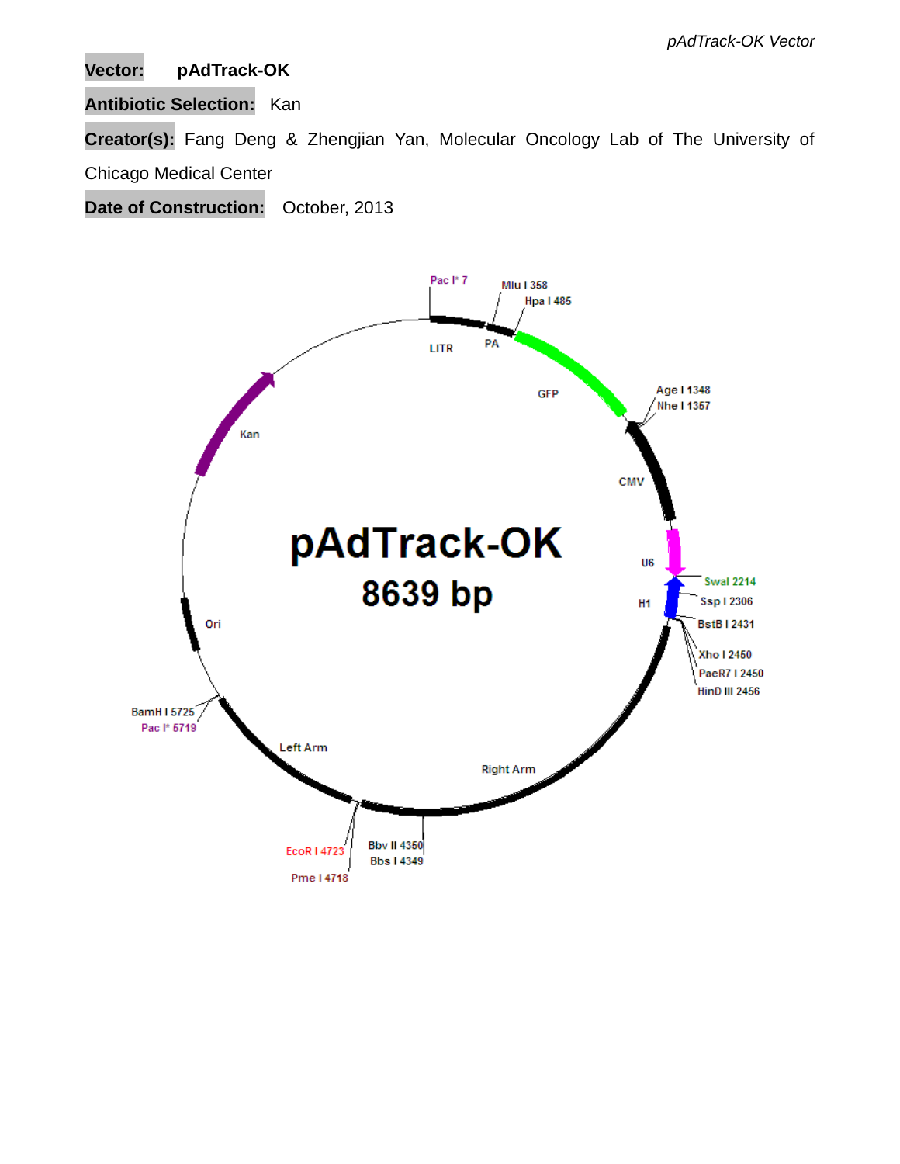# **Vector: pAdTrack-OK**

## **Antibiotic Selection:** Kan

**Creator(s):** Fang Deng & Zhengjian Yan, Molecular Oncology Lab of The University of

# Chicago Medical Center

**Date of Construction:** October, 2013

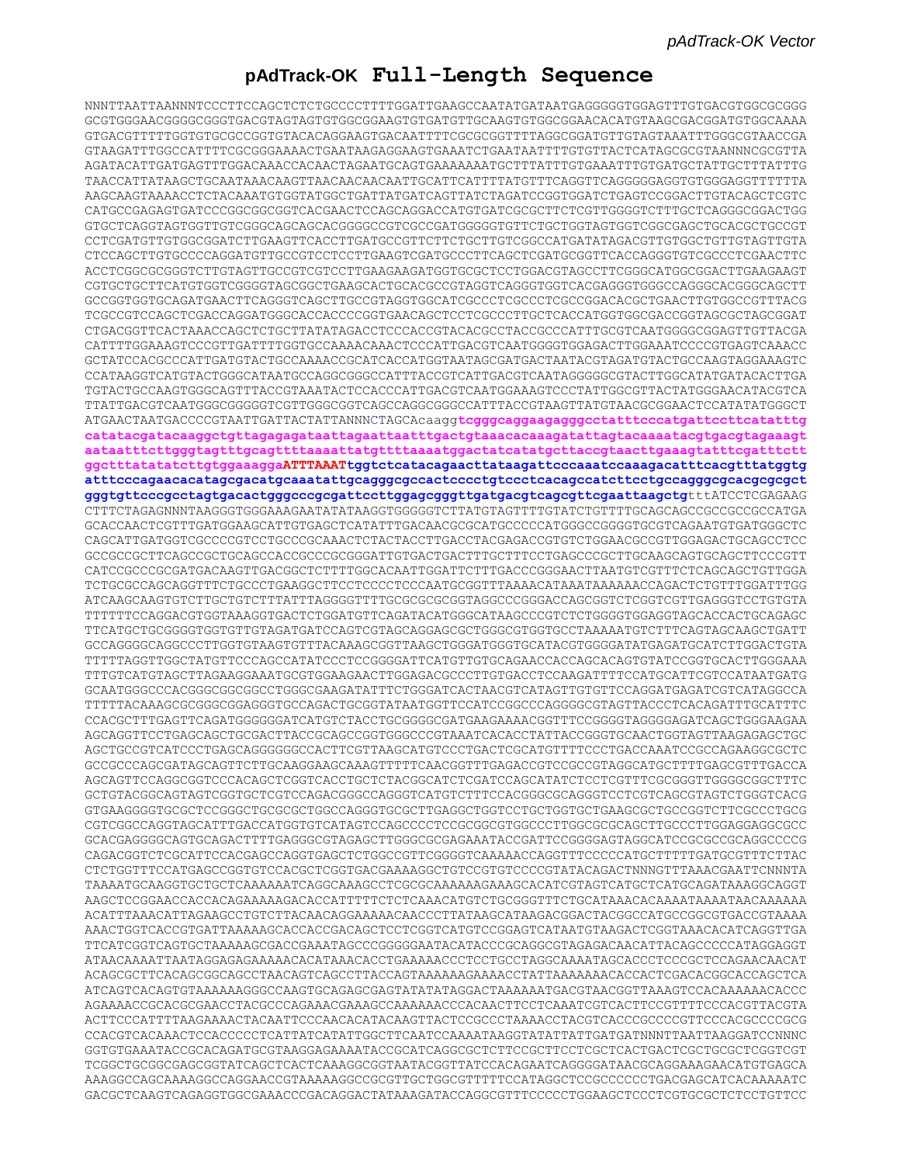## **pAdTrack-OK Full-Length Sequence**

NNNTTAATTAANNNTCCCTTCCAGCTCTCTGCCCCTTTTGGATTGAAGCCAATATGATAATGAGGGGGTGGAGTTTGTGACGTGGCGCGGG GCGTGGGAACGGGGCGGGTGACGTAGTAGTGTGGCGGAAGTGTGATGTTGCAAGTGTGGCGGAACACATGTAAGCGACGGATGTGGCAAAA GTGACGTTTTTGGTGTGCGCCGGTGTACACAGGAAGTGACAATTTTCGCGCGGTTTTAGGCGGATGTTGTAGTAAATTTGGGCGTAACCGA GTAAGATTTGGCCATTTTCGCGGGAAAACTGAATAAGAGGAAGTGAAATCTGAATAATTTTGTGTTACTCATAGCGCGTAANNNCGCGTTA AGATACATTGATGAGTTTGGACAAACCACAACTAGAATGCAGTGAAAAAAATGCTTTATTTGTGAAATTTGTGATGCTATTGCTTTATTTG TAACCATTATAAGCTGCAATAAACAAGTTAACAACAACAATTGCATTCATTTTATGTTTCAGGTTCAGGGGGAGGTGTGGGAGGTTTTTTA AAGCAAGTAAAACCTCTACAAATGTGGTATGGCTGATTATGATCAGTTATCTAGATCCGGTGGATCTGAGTCCGGACTTGTACAGCTCGTC CATGCCGAGAGTGATCCCGGCGGCGGTCACGAACTCCAGCAGGACCATGTGATCGCGCTTCTCGTTGGGGTCTTTGCTCAGGGCGGACTGG GTGCTCAGGTAGTGGTTGTCGGGCAGCAGCACGGGGCCGTCGCCGATGGGGGTGTTCTGCTGGTAGTGGTCGGCGAGCTGCACGCTGCCGT CCTCGATGTTGTGGCGGATCTTGAAGTTCACCTTGATGCCGTTCTTCTGCTTGTCGGCCATGATATAGACGTTGTGGCTGTTGTAGTTGTA CTCCAGCTTGTGCCCCAGGATGTTGCCGTCCTCCTTGAAGTCGATGCCCTTCAGCTCGATGCGGTTCACCAGGGTGTCGCCCTCGAACTTC ACCTCGGCGCGGGTCTTGTAGTTGCCGTCGTCCTTGAAGAAGATGGTGCGCTCCTGGACGTAGCCTTCGGGCATGGCGGACTTGAAGAAGT CGTGCTGCTTCATGTGGTCGGGGTAGCGGCTGAAGCACTGCACGCCGTAGGTCAGGGTGGTCACGAGGGTGGGCCAGGGCACGGGCAGCTT GCCGGTGGTGCAGATGAACTTCAGGGTCAGCTTGCCGTAGGTGGCATCGCCCTCGCCCTCGCCGGACACGCTGAACTTGTGGCCGTTTACG TCGCCGTCCAGCTCGACCAGGATGGGCACCACCCCGGTGAACAGCTCCTCGCCCTTGCTCACCATGGTGGCGACCGGTAGCGCTAGCGGAT CTGACGGTTCACTAAACCAGCTCTGCTTATATAGACCTCCCACCGTACACGCCTACCGCCCATTTGCGTCAATGGGGCGGAGTTGTTACGA CATTTTGGAAAGTCCCGTTGATTTTGGTGCCAAAACAAACTCCCATTGACGTCAATGGGGTGGAGACTTGGAAATCCCCGTGAGTCAAACC GCTATCCACGCCCATTGATGTACTGCCAAAACCGCATCACCATGGTAATAGCGATGACTAATACGTAGATGTACTGCCAAGTAGGAAAGTC CCATAAGGTCATGTACTGGGCATAATGCCAGGCGGGCCATTTACCGTCATTGACGTCAATAGGGGGCGTACTTGGCATATGATACACTTGA TGTACTGCCAAGTGGGCAGTTTACCGTAAATACTCCACCCATTGACGTCAATGGAAAGTCCCTATTGGCGTTACTATGGGAACATACGTCA TTATTGACGTCAATGGGCGGGGGTCGTTGGGCGGTCAGCCAGGCGGGCCATTTACCGTAAGTTATGTAACGCGGAACTCCATATATGGGCT ATGAACTAATGACCCCGTAATTGATTACTATTANNNCTAGCAcaagg**tcgggcaggaagagggcctatttcccatgattccttcatatttg catatacgatacaaggctgttagagagataattagaattaatttgactgtaaacacaaagatattagtacaaaatacgtgacgtagaaagt aataatttcttgggtagtttgcagttttaaaattatgttttaaaatggactatcatatgcttaccgtaacttgaaagtatttcgatttctt ggctttatatatcttgtggaaaggaATTTAAATtggtctcatacagaacttataagattcccaaatccaaagacatttcacgtttatggtg atttcccagaacacatagcgacatgcaaatattgcagggcgccactcccctgtccctcacagccatcttcctgccagggcgcacgcgcgct gggtgttcccgcctagtgacactgggcccgcgattccttggagcgggttgatgacgtcagcgttcgaattaagctg**tttATCCTCGAGAAG CTTTCTAGAGNNNTAAGGGTGGGAAAGAATATATAAGGTGGGGGTCTTATGTAGTTTTGTATCTGTTTTGCAGCAGCCGCCGCCGCCATGA GCACCAACTCGTTTGATGGAAGCATTGTGAGCTCATATATTGACAACGCGCATGCCCCATGGGCCGGGGTGCGTCAGAATGTGATGGGCTC CAGCATTGATGGTCGCCCCGTCCTGCCCGCAAACTCTACTACCTTGACCTACGAGACCGTGTCTGGAACGCCGTTGGAGACTGCAGCCTCC GCCGCCGCTTCAGCCGCTGCAGCCACCGCCCGCGGGATTGTGACTGACTTTGCTTTCCTGAGCCCGCTTGCAAGCAGTGCAGCTTCCCGTT CATCCGCCCGCGATGACAAGTTGACGGCTCTTTTGGCACAATTGGATTCTTTGACCCGGGAACTTAATGTCGTTTCTCAGCAGCTGTTGGA TCTGCGCCAGCAGGTTTCTGCCCTGAAGGCTTCCTCCCCTCCCAATGCGGTTTAAAACATAAATAAAAAACCAGACTCTGTTTGGATTTGG ATCAAGCAAGTGTCTTGCTGTCTTTATTTAGGGGTTTTGCGCGCGCGGTAGGCCCGGGACCAGCGGTCTCGGTCGTTGAGGGTCCTGTGTA TTTTTTCCAGGACGTGGTAAAGGTGACTCTGGATGTTCAGATACATGGGCATAAGCCCGTCTCTGGGGTGGAGGTAGCACCACTGCAGAGC TTCATGCTGCGGGGTGGTGTTGTAGATGATCCAGTCGTAGCAGGAGCGCTGGGCGTGGTGCCTAAAAATGTCTTTCAGTAGCAAGCTGATT GCCAGGGGCAGGCCCTTGGTGTAAGTGTTTACAAAGCGGTTAAGCTGGGATGGGTGCATACGTGGGGATATGAGATGCATCTTGGACTGTA TTTTTAGGTTGGCTATGTTCCCAGCCATATCCCTCCGGGGATTCATGTTGTGCAGAACCACCAGCACAGTGTATCCGGTGCACTTGGGAAA TTTGTCATGTAGCTTAGAAGGAAATGCGTGGAAGAACTTGGAGACGCCCTTGTGACCTCCAAGATTTTCCATGCATTCGTCCATAATGATG GCAATGGGCCCACGGGCGGCGGCCTGGGCGAAGATATTTCTGGGATCACTAACGTCATAGTTGTGTTCCAGGATGAGATCGTCATAGGCCA TTTTTACAAAGCGCGGGCGGAGGGTGCCAGACTGCGGTATAATGGTTCCATCCGGCCCAGGGGCGTAGTTACCCTCACAGATTTGCATTTC CCACGCTTTGAGTTCAGATGGGGGGATCATGTCTACCTGCGGGGCGATGAAGAAAACGGTTTCCGGGGTAGGGGAGATCAGCTGGGAAGAA AGCAGGTTCCTGAGCAGCTGCGACTTACCGCAGCCGGTGGGCCCGTAAATCACACCTATTACCGGGTGCAACTGGTAGTTAAGAGAGCTGC AGCTGCCGTCATCCCTGAGCAGGGGGGCCACTTCGTTAAGCATGTCCCTGACTCGCATGTTTTCCCTGACCAAATCCGCCAGAAGGCGCTC GCCGCCCAGCGATAGCAGTTCTTGCAAGGAAGCAAAGTTTTTCAACGGTTTGAGACCGTCCGCCGTAGGCATGCTTTTGAGCGTTTGACCA AGCAGTTCCAGGCGGTCCCACAGCTCGGTCACCTGCTCTACGGCATCTCGATCCAGCATATCTCCTCGTTTCGCGGGTTGGGGCGGCTTTC GCTGTACGGCAGTAGTCGGTGCTCGTCCAGACGGGCCAGGGTCATGTCTTTCCACGGGCGCAGGGTCCTCGTCAGCGTAGTCTGGGTCACG GTGAAGGGGTGCGCTCCGGGCTGCGCGCTGGCCAGGGTGCGCTTGAGGCTGGTCCTGCTGGTGCTGAAGCGCTGCCGGTCTTCGCCCTGCG CGTCGGCCAGGTAGCATTTGACCATGGTGTCATAGTCCAGCCCCTCCGCGGCGTGGCCCTTGGCGCGCAGCTTGCCCTTGGAGGAGGCGCC GCACGAGGGGCAGTGCAGACTTTTGAGGGCGTAGAGCTTGGGCGCGAGAAATACCGATTCCGGGGAGTAGGCATCCGCGCCGCAGGCCCCG CAGACGGTCTCGCATTCCACGAGCCAGGTGAGCTCTGGCCGTTCGGGGTCAAAAACCAGGTTTCCCCCATGCTTTTTGATGCGTTTCTTAC CTCTGGTTTCCATGAGCCGGTGTCCACGCTCGGTGACGAAAAGGCTGTCCGTGTCCCCGTATACAGACTNNNGTTTAAACGAATTCNNNTA TAAAATGCAAGGTGCTGCTCAAAAAATCAGGCAAAGCCTCGCGCAAAAAAGAAAGCACATCGTAGTCATGCTCATGCAGATAAAGGCAGGT AAGCTCCGGAACCACCACAGAAAAAGACACCATTTTTCTCTCAAACATGTCTGCGGGTTTCTGCATAAACACAAAATAAAATAACAAAAAA ACATTTAAACATTAGAAGCCTGTCTTACAACAGGAAAAACAACCCTTATAAGCATAAGACGGACTACGGCCATGCCGGCGTGACCGTAAAA AAACTGGTCACCGTGATTAAAAAGCACCACCGACAGCTCCTCGGTCATGTCCGGAGTCATAATGTAAGACTCGGTAAACACATCAGGTTGA TTCATCGGTCAGTGCTAAAAAGCGACCGAAATAGCCCGGGGGAATACATACCCGCAGGCGTAGAGACAACATTACAGCCCCCATAGGAGGT ATAACAAAATTAATAGGAGAGAAAAACACATAAACACCTGAAAAACCCTCCTGCCTAGGCAAAATAGCACCCTCCCGCTCCAGAACAACAT ACAGCGCTTCACAGCGGCAGCCTAACAGTCAGCCTTACCAGTAAAAAAGAAAACCTATTAAAAAAACACCACTCGACACGGCACCAGCTCA ATCAGTCACAGTGTAAAAAAGGGCCAAGTGCAGAGCGAGTATATATAGGACTAAAAAATGACGTAACGGTTAAAGTCCACAAAAAACACCC AGAAAACCGCACGCGAACCTACGCCCAGAAACGAAAGCCAAAAAACCCACAACTTCCTCAAATCGTCACTTCCGTTTTCCCACGTTACGTA ACTTCCCATTTTAAGAAAACTACAATTCCCAACACATACAAGTTACTCCGCCCTAAAACCTACGTCACCCGCCCCGTTCCCACGCCCCGCG CCACGTCACAAACTCCACCCCCTCATTATCATATTGGCTTCAATCCAAAATAAGGTATATTATTGATGATNNNTTAATTAAGGATCCNNNC GGTGTGAAATACCGCACAGATGCGTAAGGAGAAAATACCGCATCAGGCGCTCTTCCGCTTCCTCGCTCACTGACTCGCTGCGCTCGGTCGT TCGGCTGCGGCGAGCGGTATCAGCTCACTCAAAGGCGGTAATACGGTTATCCACAGAATCAGGGGATAACGCAGGAAAGAACATGTGAGCA AAAGGCCAGCAAAAGGCCAGGAACCGTAAAAAGGCCGCGTTGCTGGCGTTTTTCCATAGGCTCCGCCCCCCTGACGAGCATCACAAAAATC GACGCTCAAGTCAGAGGTGGCGAAACCCGACAGGACTATAAAGATACCAGGCGTTTCCCCCTGGAAGCTCCCTCGTGCGCTCTCCTGTTCC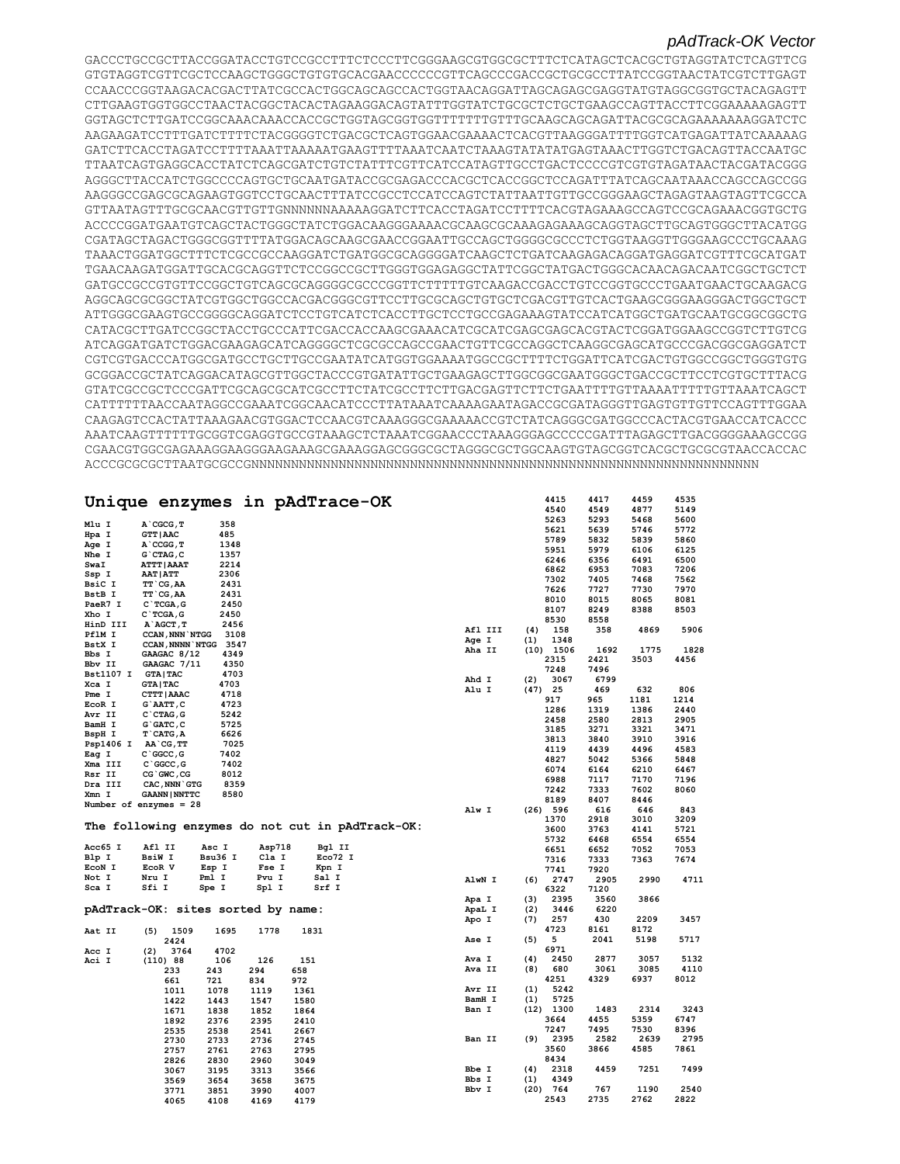#### *pAdTrack-OK Vector*

GACCCTGCCGCTTACCGGATACCTGTCCGCCTTTCTCCCTTCGGGAAGCGTGGCGCTTTCTCATAGCTCACGCTGTAGGTATCTCAGTTCG GTGTAGGTCGTTCGCTCCAAGCTGGGCTGTGTGCACGAACCCCCCGTTCAGCCCGACCGCTGCGCCTTATCCGGTAACTATCGTCTTGAGT CCAACCCGGTAAGACACGACTTATCGCCACTGGCAGCAGCCACTGGTAACAGGATTAGCAGAGCGAGGTATGTAGGCGGTGCTACAGAGTT CTTGAAGTGGTGGCCTAACTACGGCTACACTAGAAGGACAGTATTTGGTATCTGCGCTCTGCTGAAGCCAGTTACCTTCGGAAAAAGAGTT GGTAGCTCTTGATCCGGCAAACAAACCACCGCTGGTAGCGGTGGTTTTTTTGTTTGCAAGCAGCAGATTACGCGCAGAAAAAAAGGATCTC AAGAAGATCCTTTGATCTTTTCTACGGGGTCTGACGCTCAGTGGAACGAAAACTCACGTTAAGGGATTTTGGTCATGAGATTATCAAAAAG GATCTTCACCTAGATCCTTTTAAATTAAAAATGAAGTTTTAAATCAATCTAAAGTATATATGAGTAAACTTGGTCTGACAGTTACCAATGC TTAATCAGTGAGGCACCTATCTCAGCGATCTGTCTATTTCGTTCATCCATAGTTGCCTGACTCCCCGTCGTGTAGATAACTACGATACGGG AGGGCTTACCATCTGGCCCCAGTGCTGCAATGATACCGCGAGACCCACGCTCACCGGCTCCAGATTTATCAGCAATAAACCAGCCAGCCGG AAGGGCCGAGCGCAGAAGTGGTCCTGCAACTTTATCCGCCTCCATCCAGTCTATTAATTGTTGCCGGGAAGCTAGAGTAAGTAGTTCGCCA GTTAATAGTTTGCGCAACGTTGTTGNNNNNNAAAAAGGATCTTCACCTAGATCCTTTTCACGTAGAAAGCCAGTCCGCAGAAACGGTGCTG ACCCCGGATGAATGTCAGCTACTGGGCTATCTGGACAAGGGAAAACGCAAGCGCAAAGAGAAAGCAGGTAGCTTGCAGTGGGCTTACATGG CGATAGCTAGACTGGGCGGTTTTATGGACAGCAAGCGAACCGGAATTGCCAGCTGGGGCGCCCTCTGGTAAGGTTGGGAAGCCCTGCAAAG TAAACTGGATGGCTTTCTCGCCGCCAAGGATCTGATGGCGCAGGGGATCAAGCTCTGATCAAGAGACAGGATGAGGATCGTTTCGCATGAT TGAACAAGATGGATTGCACGCAGGTTCTCCGGCCGCTTGGGTGGAGAGGCTATTCGGCTATGACTGGGCACAACAGACAATCGGCTGCTCT GATGCCGCCGTGTTCCGGCTGTCAGCGCAGGGGCGCCCGGTTCTTTTTGTCAAGACCGACCTGTCCGGTGCCCTGAATGAACTGCAAGACG AGGCAGCGCGGCTATCGTGGCTGGCCACGACGGGCGTTCCTTGCGCAGCTGTGCTCGACGTTGTCACTGAAGCGGGAAGGGACTGGCTGCT ATTGGGCGAAGTGCCGGGGCAGGATCTCCTGTCATCTCACCTTGCTCCTGCCGAGAAAGTATCCATCATGGCTGATGCAATGCGGCGGCTG CATACGCTTGATCCGGCTACCTGCCCATTCGACCACCAAGCGAAACATCGCATCGAGCGAGCACGTACTCGGATGGAAGCCGGTCTTGTCG ATCAGGATGATCTGGACGAAGAGCATCAGGGGCTCGCGCCAGCCGAACTGTTCGCCAGGCTCAAGGCGAGCATGCCCGACGGCGAGGATCT CGTCGTGACCCATGGCGATGCCTGCTTGCCGAATATCATGGTGGAAAATGGCCGCTTTTCTGGATTCATCGACTGTGGCCGGCTGGGTGTG GCGGACCGCTATCAGGACATAGCGTTGGCTACCCGTGATATTGCTGAAGAGCTTGGCGGCGAATGGGCTGACCGCTTCCTCGTGCTTTACG GTATCGCCGCTCCCGATTCGCAGCGCATCGCCTTCTATCGCCTTCTTGACGAGTTCTTCTGAATTTTGTTAAAATTTTTGTTAAATCAGCT CATTTTTTAACCAATAGGCCGAAATCGGCAACATCCCTTATAAATCAAAAGAATAGACCGCGATAGGGTTGAGTGTTGTTCCAGTTTGGAA CAAGAGTCCACTATTAAAGAACGTGGACTCCAACGTCAAAGGGCGAAAAACCGTCTATCAGGGCGATGGCCCACTACGTGAACCATCACCC AAATCAAGTTTTTTGCGGTCGAGGTGCCGTAAAGCTCTAAATCGGAACCCTAAAGGGAGCCCCCGATTTAGAGCTTGACGGGGAAAGCCGG CGAACGTGGCGAGAAAGGAAGGGAAGAAAGCGAAAGGAGCGGGCGCTAGGGCGCTGGCAAGTGTAGCGGTCACGCTGCGCGTAACCACCAC ACCCGCGCGCTTAATGCGCCGNNNNNNNNNNNNNNNNNNNNNNNNNNNNNNNNNNNNNNNNNNNNNNNNNNNNNNNNNNNNNNNN

|                  |                                    |         |        | Unique enzymes in pAdTrace-OK                    |         |      | 4415        | 4417 | 4459 | 4535 |
|------------------|------------------------------------|---------|--------|--------------------------------------------------|---------|------|-------------|------|------|------|
|                  |                                    |         |        |                                                  |         |      | 4540        | 4549 | 4877 | 5149 |
|                  |                                    |         |        |                                                  |         |      | 5263        | 5293 | 5468 | 5600 |
| Mlu I            | A CGCG, T                          | 358     |        |                                                  |         |      | 5621        | 5639 | 5746 | 5772 |
| Hpa I            | <b>GTT   AAC</b>                   | 485     |        |                                                  |         |      | 5789        | 5832 | 5839 | 5860 |
| Age I            | A CCGG, T                          | 1348    |        |                                                  |         |      | 5951        | 5979 | 6106 | 6125 |
| Nhe I            | $G$ $CTAG$ , $C$                   | 1357    |        |                                                  |         |      | 6246        | 6356 | 6491 | 6500 |
| SwaI             | <b>ATTT   AAAT</b>                 | 2214    |        |                                                  |         |      | 6862        | 6953 | 7083 | 7206 |
| Ssp I            | <b>AAT   ATT</b>                   | 2306    |        |                                                  |         |      | 7302        | 7405 | 7468 | 7562 |
| BsiC I           | TT CG, AA                          | 2431    |        |                                                  |         |      | 7626        | 7727 | 7730 | 7970 |
| BstB I           | TT CG, AA                          | 2431    |        |                                                  |         |      | 8010        | 8015 | 8065 | 8081 |
| PaeR7 I          | $C$ TCGA, G                        | 2450    |        |                                                  |         |      |             |      |      |      |
| Xho I            | $C$ TCGA, G                        | 2450    |        |                                                  |         |      | 8107        | 8249 | 8388 | 8503 |
| HinD III         | A AGCT, T                          | 2456    |        |                                                  |         |      | 8530        | 8558 |      |      |
| PflM I           | <b>CCAN, NNN NTGG</b>              | 3108    |        |                                                  | Afl III | (4)  | 158         | 358  | 4869 | 5906 |
| BstX I           | <b>CCAN, NNNN NTGG</b>             | 3547    |        |                                                  | Age I   | (1)  | 1348        |      |      |      |
| Bbs I            | GAAGAC 8/12                        | 4349    |        |                                                  | Aha II  |      | $(10)$ 1506 | 1692 | 1775 | 1828 |
| Bbv II           | GAAGAC 7/11                        | 4350    |        |                                                  |         |      | 2315        | 2421 | 3503 | 4456 |
| <b>Bst1107 I</b> | <b>GTA   TAC</b>                   | 4703    |        |                                                  |         |      | 7248        | 7496 |      |      |
| Xca I            | <b>GTA   TAC</b>                   | 4703    |        |                                                  | Ahd I   | (2)  | 3067        | 6799 |      |      |
| Pme I            | CTTT   AAAC                        | 4718    |        |                                                  | Alu I   | (47) | 25          | 469  | 632  | 806  |
|                  | G`AATT, C                          | 4723    |        |                                                  |         |      | 917         | 965  | 1181 | 1214 |
| EcoR I           |                                    |         |        |                                                  |         |      | 1286        | 1319 | 1386 | 2440 |
| Avr II           | $C$ $CTAG$ , $G$                   | 5242    |        |                                                  |         |      | 2458        | 2580 | 2813 | 2905 |
| BamH I           | $G$ $GATC$ , $C$                   | 5725    |        |                                                  |         |      | 3185        | 3271 | 3321 | 3471 |
| BspH I           | $T$ $CATG, A$                      | 6626    |        |                                                  |         |      | 3813        | 3840 | 3910 | 3916 |
| Psp1406 I        | AA CG, TT                          | 7025    |        |                                                  |         |      | 4119        | 4439 | 4496 | 4583 |
| Eag I            | $C$ $GC$ , $G$                     | 7402    |        |                                                  |         |      | 4827        | 5042 | 5366 | 5848 |
| Xma III          | $C$ $GC$ , $G$                     | 7402    |        |                                                  |         |      | 6074        | 6164 | 6210 | 6467 |
| Rsr II           | CG GWC, CG                         | 8012    |        |                                                  |         |      |             |      |      |      |
| Dra III          | CAC, NNN GTG                       | 8359    |        |                                                  |         |      | 6988        | 7117 | 7170 | 7196 |
| Xmn I            | <b>GAANN   NNTTC</b>               | 8580    |        |                                                  |         |      | 7242        | 7333 | 7602 | 8060 |
|                  | Number of enzymes $= 28$           |         |        |                                                  |         |      | 8189        | 8407 | 8446 |      |
|                  |                                    |         |        |                                                  | Alw I   | (26) | 596         | 616  | 646  | 843  |
|                  |                                    |         |        | The following enzymes do not cut in pAdTrack-OK: |         |      | 1370        | 2918 | 3010 | 3209 |
|                  |                                    |         |        |                                                  |         |      | 3600        | 3763 | 4141 | 5721 |
|                  |                                    |         |        |                                                  |         |      | 5732        | 6468 | 6554 | 6554 |
| Acc65 I          | Afl II                             | Asc I   | Asp718 | Bgl II                                           |         |      | 6651        | 6652 | 7052 | 7053 |
| Blp I            | <b>BsiW I</b>                      | Bsu36 I | Cla I  | Eco72 I                                          |         |      | 7316        | 7333 | 7363 | 7674 |
| ECON I           | EcoR V                             | Esp I   | Fse I  | Kpn I                                            |         |      | 7741        | 7920 |      |      |
| Not I            | Nru I                              | Pml I   | Pvu I  | Sal I                                            | AlwN I  | (6)  | 2747        | 2905 | 2990 | 4711 |
| Sca I            | Sfi I                              | Spe I   | Spl I  | Srf I                                            |         |      | 6322        | 7120 |      |      |
|                  |                                    |         |        |                                                  | Apa I   | (3)  | 2395        | 3560 | 3866 |      |
|                  | pAdTrack-OK: sites sorted by name: |         |        |                                                  | ApaL I  | (2)  | 3446        | 6220 |      |      |
|                  |                                    |         |        |                                                  | Apo I   | (7)  | 257         | 430  | 2209 | 3457 |
| Aat II           | (5)<br>1509                        | 1695    | 1778   | 1831                                             |         |      | 4723        | 8161 | 8172 |      |
|                  | 2424                               |         |        |                                                  | Ase I   | (5)  | 5           | 2041 | 5198 | 5717 |
|                  | 3764                               | 4702    |        |                                                  |         |      | 6971        |      |      |      |
| Acc I<br>Aci I   | (2)<br>(110) 88                    | 106     | 126    | 151                                              | Ava I   | (4)  | 2450        | 2877 | 3057 | 5132 |
|                  |                                    |         |        |                                                  | Ava II  | (8)  | 680         | 3061 | 3085 | 4110 |
|                  | 233                                | 243     | 294    | 658                                              |         |      | 4251        | 4329 | 6937 | 8012 |
|                  | 661                                | 721     | 834    | 972                                              |         | (1)  | 5242        |      |      |      |
|                  | 1011                               | 1078    | 1119   | 1361                                             | Avr II  |      |             |      |      |      |
|                  | 1422                               | 1443    | 1547   | 1580                                             | BamH I  | (1)  | 5725        |      |      |      |
|                  | 1671                               | 1838    | 1852   | 1864                                             | Ban I   |      | $(12)$ 1300 | 1483 | 2314 | 3243 |
|                  | 1892                               | 2376    | 2395   | 2410                                             |         |      | 3664        | 4455 | 5359 | 6747 |
|                  | 2535                               | 2538    | 2541   | 2667                                             |         |      | 7247        | 7495 | 7530 | 8396 |
|                  | 2730                               | 2733    | 2736   | 2745                                             | Ban II  | (9)  | 2395        | 2582 | 2639 | 2795 |
|                  | 2757                               | 2761    | 2763   | 2795                                             |         |      | 3560        | 3866 | 4585 | 7861 |
|                  | 2826                               | 2830    | 2960   | 3049                                             |         |      | 8434        |      |      |      |
|                  | 3067                               | 3195    | 3313   | 3566                                             | Bbe I   | (4)  | 2318        | 4459 | 7251 | 7499 |
|                  | 3569                               | 3654    | 3658   | 3675                                             | Bbs I   | (1)  | 4349        |      |      |      |
|                  | 3771                               | 3851    | 3990   | 4007                                             | Bbv I   | (20) | 764         | 767  | 1190 | 2540 |
|                  | 4065                               | 4108    | 4169   | 4179                                             |         |      | 2543        | 2735 | 2762 | 2822 |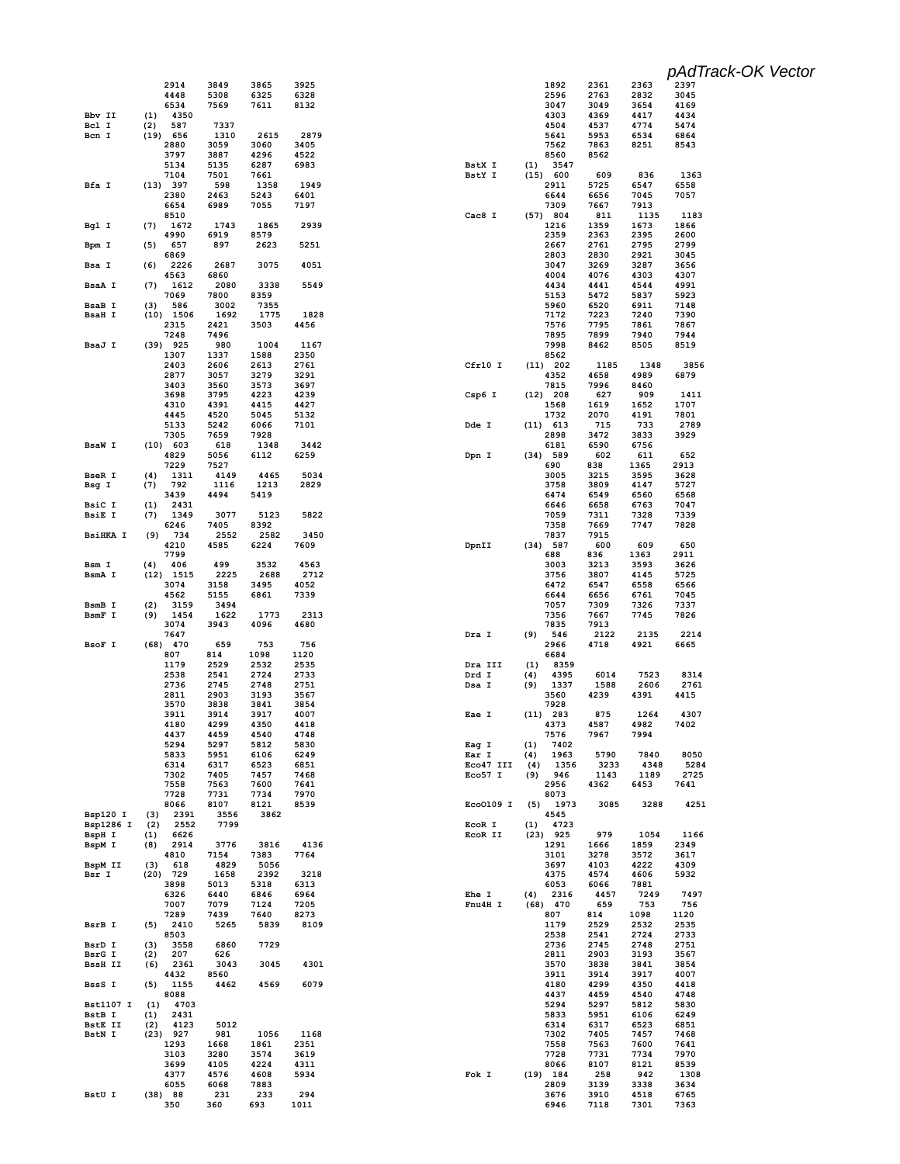|                          |                            |              |              |              |                    |            |                    |              |              | pAdTrack-OK Vector |
|--------------------------|----------------------------|--------------|--------------|--------------|--------------------|------------|--------------------|--------------|--------------|--------------------|
|                          | 2914                       | 3849         | 3865         | 3925         |                    |            | 1892               | 2361         | 2363         | 2397               |
|                          | 4448<br>6534               | 5308<br>7569 | 6325<br>7611 | 6328<br>8132 |                    |            | 2596<br>3047       | 2763<br>3049 | 2832<br>3654 | 3045<br>4169       |
| Bbv II                   | 4350<br>(1)                |              |              |              |                    |            | 4303               | 4369         | 4417         | 4434               |
| Bcl I                    | 587<br>(2)                 | 7337         |              |              |                    |            | 4504               | 4537         | 4774         | 5474               |
| Bcn I                    | $(19)$ 656<br>2880         | 1310<br>3059 | 2615<br>3060 | 2879<br>3405 |                    |            | 5641<br>7562       | 5953<br>7863 | 6534<br>8251 | 6864<br>8543       |
|                          | 3797                       | 3887         | 4296         | 4522         |                    |            | 8560               | 8562         |              |                    |
|                          | 5134                       | 5135         | 6287         | 6983         | BstX I             | (1)        | 3547               |              |              |                    |
| Bfa I                    | 7104<br>(13) 397           | 7501<br>598  | 7661<br>1358 | 1949         | BstY I             |            | (15) 600<br>2911   | 609<br>5725  | 836<br>6547  | 1363<br>6558       |
|                          | 2380                       | 2463         | 5243         | 6401         |                    |            | 6644               | 6656         | 7045         | 7057               |
|                          | 6654                       | 6989         | 7055         | 7197         |                    |            | 7309               | 7667         | 7913         |                    |
| Bgl I                    | 8510<br>1672<br>(7)        | 1743         | 1865         | 2939         | Cac8 I             |            | (57) 804<br>1216   | 811<br>1359  | 1135<br>1673 | 1183<br>1866       |
|                          | 4990                       | 6919         | 8579         |              |                    |            | 2359               | 2363         | 2395         | 2600               |
| Bpm I                    | 657<br>(5)<br>6869         | 897          | 2623         | 5251         |                    |            | 2667<br>2803       | 2761<br>2830 | 2795<br>2921 | 2799<br>3045       |
| Bsa I                    | 2226<br>(6)                | 2687         | 3075         | 4051         |                    |            | 3047               | 3269         | 3287         | 3656               |
|                          | 4563                       | 6860         |              |              |                    |            | 4004               | 4076         | 4303         | 4307               |
| BsaA I                   | (7)<br>1612<br>7069        | 2080<br>7800 | 3338<br>8359 | 5549         |                    |            | 4434<br>5153       | 4441<br>5472 | 4544<br>5837 | 4991<br>5923       |
| <b>BsaB</b> I            | (3)<br>586                 | 3002         | 7355         |              |                    |            | 5960               | 6520         | 6911         | 7148               |
| <b>BsaH I</b>            | $(10)$ 1506                | 1692         | 1775         | 1828         |                    |            | 7172               | 7223         | 7240         | 7390               |
|                          | 2315<br>7248               | 2421<br>7496 | 3503         | 4456         |                    |            | 7576<br>7895       | 7795<br>7899 | 7861<br>7940 | 7867<br>7944       |
| BsaJ I                   | $(39)$ 925                 | 980          | 1004         | 1167         |                    |            | 7998               | 8462         | 8505         | 8519               |
|                          | 1307                       | 1337         | 1588         | 2350         |                    |            | 8562               |              |              |                    |
|                          | 2403<br>2877               | 2606<br>3057 | 2613<br>3279 | 2761<br>3291 | Cfr10 I            |            | $(11)$ 202<br>4352 | 1185<br>4658 | 1348<br>4989 | 3856<br>6879       |
|                          | 3403                       | 3560         | 3573         | 3697         |                    |            | 7815               | 7996         | 8460         |                    |
|                          | 3698                       | 3795         | 4223         | 4239         | Csp6 I             |            | $(12)$ 208         | 627          | 909          | 1411               |
|                          | 4310<br>4445               | 4391<br>4520 | 4415<br>5045 | 4427<br>5132 |                    |            | 1568<br>1732       | 1619<br>2070 | 1652<br>4191 | 1707<br>7801       |
|                          | 5133                       | 5242         | 6066         | 7101         | Dde I              |            | $(11)$ 613         | 715          | 733          | 2789               |
|                          | 7305                       | 7659         | 7928         |              |                    |            | 2898               | 3472         | 3833         | 3929               |
| <b>BsaW I</b>            | $(10)$ 603<br>4829         | 618<br>5056  | 1348<br>6112 | 3442<br>6259 | Dpn I              |            | 6181<br>$(34)$ 589 | 6590<br>602  | 6756<br>611  | 652                |
|                          | 7229                       | 7527         |              |              |                    |            | 690                | 838          | 1365         | 2913               |
| <b>BseR I</b>            | 1311<br>(4)                | 4149         | 4465         | 5034         |                    |            | 3005               | 3215         | 3595         | 3628               |
| Bsg I                    | 792<br>(7)<br>3439         | 1116<br>4494 | 1213<br>5419 | 2829         |                    |            | 3758<br>6474       | 3809<br>6549 | 4147<br>6560 | 5727<br>6568       |
| BsiC I                   | 2431<br>(1)                |              |              |              |                    |            | 6646               | 6658         | 6763         | 7047               |
| <b>BsiE I</b>            | 1349<br>(7)                | 3077         | 5123         | 5822         |                    |            | 7059               | 7311         | 7328         | 7339               |
| <b>BsiHKA I</b>          | 6246<br>734<br>(9)         | 7405<br>2552 | 8392<br>2582 | 3450         |                    |            | 7358<br>7837       | 7669<br>7915 | 7747         | 7828               |
|                          | 4210                       | 4585         | 6224         | 7609         | DpnII              |            | $(34)$ 587         | 600          | 609          | 650                |
|                          | 7799                       |              |              |              |                    |            | 688                | 836          | 1363         | 2911               |
| Bsm I<br>BsmA I          | 406<br>(4)<br>$(12)$ 1515  | 499<br>2225  | 3532<br>2688 | 4563<br>2712 |                    |            | 3003<br>3756       | 3213<br>3807 | 3593<br>4145 | 3626<br>5725       |
|                          | 3074                       | 3158         | 3495         | 4052         |                    |            | 6472               | 6547         | 6558         | 6566               |
|                          | 4562                       | 5155         | 6861         | 7339         |                    |            | 6644               | 6656         | 6761         | 7045               |
| BsmB I<br>BsmF I         | (2)<br>3159<br>1454<br>(9) | 3494<br>1622 | 1773         | 2313         |                    |            | 7057<br>7356       | 7309<br>7667 | 7326<br>7745 | 7337<br>7826       |
|                          | 3074                       | 3943         | 4096         | 4680         |                    |            | 7835               | 7913         |              |                    |
|                          | 7647                       |              |              |              | Dra I              | (9)        | 546                | 2122         | 2135         | 2214               |
| BsoF I                   | 470<br>(68)<br>807         | 659<br>814   | 753<br>1098  | 756<br>1120  |                    |            | 2966<br>6684       | 4718         | 4921         | 6665               |
|                          | 1179                       | 2529         | 2532         | 2535         | Dra III            | (1)        | 8359               |              |              |                    |
|                          | 2538                       | 2541         | 2724         | 2733         | Drd I              | (4)        | 4395               | 6014         | 7523         | 8314               |
|                          | 2736<br>2811               | 2745<br>2903 | 2748<br>3193 | 2751<br>3567 | Dsa I              | (9)        | 1337<br>3560       | 1588<br>4239 | 2606<br>4391 | 2761<br>4415       |
|                          | 3570                       | 3838         | 3841         | 3854         |                    |            | 7928               |              |              |                    |
|                          | 3911                       | 3914         | 3917         | 4007         | Eae I              |            | $(11)$ 283         | 875          | 1264         | 4307               |
|                          | 4180<br>4437               | 4299<br>4459 | 4350<br>4540 | 4418<br>4748 |                    |            | 4373<br>7576       | 4587<br>7967 | 4982<br>7994 | 7402               |
|                          | 5294                       | 5297         | 5812         | 5830         | Eag I              | (1)        | 7402               |              |              |                    |
|                          | 5833                       | 5951         | 6106         | 6249         | Ear I<br>Eco47 III | (4)        | 1963               | 5790         | 7840<br>4348 | 8050               |
|                          | 6314<br>7302               | 6317<br>7405 | 6523<br>7457 | 6851<br>7468 | Eco57 I            | (4)<br>(9) | 1356<br>946        | 3233<br>1143 | 1189         | 5284<br>2725       |
|                          | 7558                       | 7563         | 7600         | 7641         |                    |            | 2956               | 4362         | 6453         | 7641               |
|                          | 7728<br>8066               | 7731<br>8107 | 7734<br>8121 | 7970<br>8539 | Eco0109 I          | (5)        | 8073<br>1973       | 3085         | 3288         | 4251               |
| Bsp120 I                 | (3)<br>2391                | 3556         | 3862         |              |                    |            | 4545               |              |              |                    |
| Bsp1286 I                | (2)<br>2552                | 7799         |              |              | EcoR I             | (1)        | 4723               |              |              |                    |
| BspH I<br>BspM I         | (1)<br>6626<br>(8)<br>2914 | 3776         | 3816         | 4136         | EcoR II            |            | $(23)$ 925<br>1291 | 979<br>1666  | 1054<br>1859 | 1166<br>2349       |
|                          | 4810                       | 7154         | 7383         | 7764         |                    |            | 3101               | 3278         | 3572         | 3617               |
| BspM II                  | 618<br>(3)                 | 4829         | 5056         |              |                    |            | 3697               | 4103         | 4222         | 4309               |
| Bsr I                    | $(20)$ 729<br>3898         | 1658<br>5013 | 2392<br>5318 | 3218<br>6313 |                    |            | 4375<br>6053       | 4574<br>6066 | 4606<br>7881 | 5932               |
|                          | 6326                       | 6440         | 6846         | 6964         | Ehe I              | (4)        | 2316               | 4457         | 7249         | 7497               |
|                          | 7007                       | 7079         | 7124         | 7205         | Fnu4H I            |            | $(68)$ 470         | 659          | 753          | 756                |
| BsrB I                   | 7289<br>2410<br>(5)        | 7439<br>5265 | 7640<br>5839 | 8273<br>8109 |                    |            | 807<br>1179        | 814<br>2529  | 1098<br>2532 | 1120<br>2535       |
|                          | 8503                       |              |              |              |                    |            | 2538               | 2541         | 2724         | 2733               |
| BsrD I                   | 3558<br>(3)                | 6860         | 7729         |              |                    |            | 2736               | 2745         | 2748         | 2751               |
| BsrG I<br><b>BssH II</b> | 207<br>(2)<br>(6)<br>2361  | 626<br>3043  | 3045         | 4301         |                    |            | 2811<br>3570       | 2903<br>3838 | 3193<br>3841 | 3567<br>3854       |
|                          | 4432                       | 8560         |              |              |                    |            | 3911               | 3914         | 3917         | 4007               |
| BssS I                   | (5)<br>1155                | 4462         | 4569         | 6079         |                    |            | 4180               | 4299         | 4350         | 4418               |
| <b>Bst1107 I</b>         | 8088<br>(1)<br>4703        |              |              |              |                    |            | 4437<br>5294       | 4459<br>5297 | 4540<br>5812 | 4748<br>5830       |
| BstB I                   | 2431<br>(1)                |              |              |              |                    |            | 5833               | 5951         | 6106         | 6249               |
| <b>BstE II</b>           | (2)<br>4123                | 5012         |              |              |                    |            | 6314               | 6317         | 6523         | 6851               |
| BstN I                   | $(23)$ 927<br>1293         | 981<br>1668  | 1056<br>1861 | 1168<br>2351 |                    |            | 7302<br>7558       | 7405<br>7563 | 7457<br>7600 | 7468<br>7641       |
|                          | 3103                       | 3280         | 3574         | 3619         |                    |            | 7728               | 7731         | 7734         | 7970               |
|                          | 3699                       | 4105         | 4224         | 4311         |                    |            | 8066               | 8107         | 8121         | 8539               |
|                          | 4377<br>6055               | 4576<br>6068 | 4608<br>7883 | 5934         | Fok I              |            | $(19)$ 184<br>2809 | 258<br>3139  | 942<br>3338  | 1308<br>3634       |
| BstU I                   | (38) 88                    | 231          | 233          | 294          |                    |            | 3676               | 3910         | 4518         | 6765               |
|                          | 350                        | 360          | 693          | 1011         |                    |            | 6946               | 7118         | 7301         | 7363               |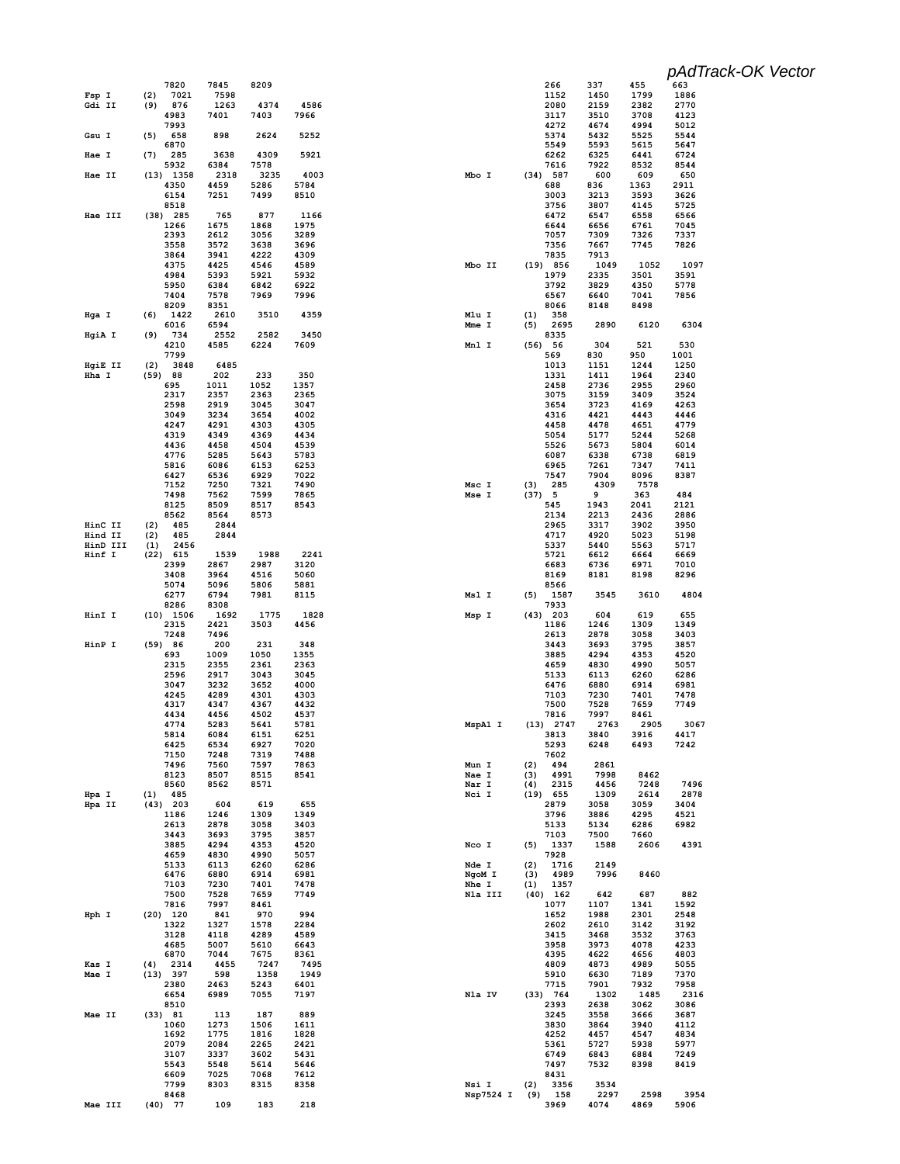|                     |                           |              |              |              |                  |            |                     |              |              | pAdTrack-OK Vector |
|---------------------|---------------------------|--------------|--------------|--------------|------------------|------------|---------------------|--------------|--------------|--------------------|
|                     | 7820<br>(2)<br>7021       | 7845<br>7598 | 8209         |              |                  |            | 266<br>1152         | 337<br>1450  | 455<br>1799  | 663<br>1886        |
| Fsp I<br>Gdi II     | 876<br>(9)                | 1263         | 4374         | 4586         |                  |            | 2080                | 2159         | 2382         | 2770               |
|                     | 4983                      | 7401         | 7403         | 7966         |                  |            | 3117                | 3510         | 3708         | 4123               |
| Gsu I               | 7993<br>(5)<br>658        | 898          | 2624         | 5252         |                  |            | 4272<br>5374        | 4674<br>5432 | 4994<br>5525 | 5012<br>5544       |
|                     | 6870                      |              |              |              |                  |            | 5549                | 5593         | 5615         | 5647               |
| Hae I               | (7)<br>285<br>5932        | 3638<br>6384 | 4309<br>7578 | 5921         |                  |            | 6262<br>7616        | 6325<br>7922 | 6441<br>8532 | 6724<br>8544       |
| Hae II              | $(13)$ 1358               | 2318         | 3235         | 4003         | Mbo I            |            | $(34)$ 587          | 600          | 609          | 650                |
|                     | 4350<br>6154              | 4459<br>7251 | 5286<br>7499 | 5784<br>8510 |                  |            | 688<br>3003         | 836<br>3213  | 1363<br>3593 | 2911<br>3626       |
|                     | 8518                      |              |              |              |                  |            | 3756                | 3807         | 4145         | 5725               |
| Hae III             | $(38)$ 285<br>1266        | 765<br>1675  | 877<br>1868  | 1166<br>1975 |                  |            | 6472<br>6644        | 6547<br>6656 | 6558<br>6761 | 6566<br>7045       |
|                     | 2393                      | 2612         | 3056         | 3289         |                  |            | 7057                | 7309         | 7326         | 7337               |
|                     | 3558<br>3864              | 3572<br>3941 | 3638<br>4222 | 3696<br>4309 |                  |            | 7356<br>7835        | 7667<br>7913 | 7745         | 7826               |
|                     | 4375                      | 4425         | 4546         | 4589         | Mbo II           |            | $(19)$ 856          | 1049         | 1052         | 1097               |
|                     | 4984<br>5950              | 5393<br>6384 | 5921<br>6842 | 5932<br>6922 |                  |            | 1979<br>3792        | 2335<br>3829 | 3501<br>4350 | 3591<br>5778       |
|                     | 7404                      | 7578         | 7969         | 7996         |                  |            | 6567                | 6640         | 7041         | 7856               |
|                     | 8209<br>1422<br>(6)       | 8351<br>2610 | 3510         | 4359         | Mlu I            |            | 8066<br>358         | 8148         | 8498         |                    |
| Hga I               | 6016                      | 6594         |              |              | Mme I            | (1)<br>(5) | 2695                | 2890         | 6120         | 6304               |
| HgiA I              | (9)<br>734                | 2552         | 2582         | 3450         |                  |            | 8335                | 304          | 521          | 530                |
|                     | 4210<br>7799              | 4585         | 6224         | 7609         | Mnl I            | (56)       | - 56<br>569         | 830          | 950          | 1001               |
| HgiE II             | 3848<br>(2)               | 6485         |              |              |                  |            | 1013                | 1151         | 1244         | 1250               |
| Hha I               | $(59)$ 88<br>695          | 202<br>1011  | 233<br>1052  | 350<br>1357  |                  |            | 1331<br>2458        | 1411<br>2736 | 1964<br>2955 | 2340<br>2960       |
|                     | 2317                      | 2357         | 2363         | 2365         |                  |            | 3075                | 3159         | 3409         | 3524               |
|                     | 2598<br>3049              | 2919<br>3234 | 3045<br>3654 | 3047<br>4002 |                  |            | 3654<br>4316        | 3723<br>4421 | 4169<br>4443 | 4263<br>4446       |
|                     | 4247                      | 4291         | 4303         | 4305         |                  |            | 4458                | 4478         | 4651         | 4779               |
|                     | 4319<br>4436              | 4349<br>4458 | 4369<br>4504 | 4434<br>4539 |                  |            | 5054<br>5526        | 5177<br>5673 | 5244<br>5804 | 5268<br>6014       |
|                     | 4776                      | 5285         | 5643         | 5783         |                  |            | 6087                | 6338         | 6738         | 6819               |
|                     | 5816                      | 6086         | 6153         | 6253         |                  |            | 6965                | 7261<br>7904 | 7347         | 7411               |
|                     | 6427<br>7152              | 6536<br>7250 | 6929<br>7321 | 7022<br>7490 | Msc I            | (3)        | 7547<br>285         | 4309         | 8096<br>7578 | 8387               |
|                     | 7498                      | 7562         | 7599         | 7865         | Mse I            | (37) 5     |                     | 9            | 363          | 484                |
|                     | 8125<br>8562              | 8509<br>8564 | 8517<br>8573 | 8543         |                  |            | 545<br>2134         | 1943<br>2213 | 2041<br>2436 | 2121<br>2886       |
| HinC II             | 485<br>(2)                | 2844         |              |              |                  |            | 2965                | 3317         | 3902         | 3950               |
| Hind II<br>HinD III | (2)<br>485<br>2456<br>(1) | 2844         |              |              |                  |            | 4717<br>5337        | 4920<br>5440 | 5023<br>5563 | 5198<br>5717       |
| Hinf I              | (22)<br>615               | 1539         | 1988         | 2241         |                  |            | 5721                | 6612         | 6664         | 6669               |
|                     | 2399<br>3408              | 2867<br>3964 | 2987<br>4516 | 3120<br>5060 |                  |            | 6683<br>8169        | 6736<br>8181 | 6971<br>8198 | 7010<br>8296       |
|                     | 5074                      | 5096         | 5806         | 5881         |                  |            | 8566                |              |              |                    |
|                     | 6277<br>8286              | 6794<br>8308 | 7981         | 8115         | Msl I            | (5)        | 1587<br>7933        | 3545         | 3610         | 4804               |
| HinI I              | $(10)$ 1506               | 1692         | 1775         | 1828         | Msp I            |            | $(43)$ 203          | 604          | 619          | 655                |
|                     | 2315<br>7248              | 2421<br>7496 | 3503         | 4456         |                  |            | 1186<br>2613        | 1246<br>2878 | 1309<br>3058 | 1349               |
| HinP I              |                           |              |              |              |                  |            |                     |              |              |                    |
|                     | (59) 86                   | 200          | 231          | 348          |                  |            | 3443                | 3693         | 3795         | 3403<br>3857       |
|                     | 693                       | 1009         | 1050         | 1355         |                  |            | 3885                | 4294         | 4353         | 4520               |
|                     | 2315<br>2596              | 2355<br>2917 | 2361<br>3043 | 2363<br>3045 |                  |            | 4659<br>5133        | 4830<br>6113 | 4990<br>6260 | 5057<br>6286       |
|                     | 3047                      | 3232         | 3652         | 4000         |                  |            | 6476                | 6880         | 6914         | 6981               |
|                     | 4245<br>4317              | 4289<br>4347 | 4301<br>4367 | 4303<br>4432 |                  |            | 7103<br>7500        | 7230<br>7528 | 7401<br>7659 | 7478<br>7749       |
|                     | 4434                      | 4456         | 4502         | 4537         |                  |            | 7816                | 7997         | 8461         |                    |
|                     | 4774<br>5814              | 5283<br>6084 | 5641<br>6151 | 5781<br>6251 | MspA1 I          |            | $(13)$ 2747<br>3813 | 2763<br>3840 | 2905<br>3916 | 3067<br>4417       |
|                     | 6425                      | 6534         | 6927         | 7020         |                  |            | 5293                | 6248         | 6493         | 7242               |
|                     | 7150                      | 7248         | 7319         | 7488         |                  |            | 7602                | 2861         |              |                    |
|                     | 7496<br>8123              | 7560<br>8507 | 7597<br>8515 | 7863<br>8541 | Mun I<br>Nae I   | (2)<br>(3) | 494<br>4991         | 7998         | 8462         |                    |
|                     | 8560                      | 8562         | 8571         |              | Nar I            | (4)        | 2315                | 4456         | 7248         | 7496               |
| Hpa I<br>Hpa II     | 485<br>(1)<br>$(43)$ 203  | 604          | 619          | 655          | Nci I            |            | $(19)$ 655<br>2879  | 1309<br>3058 | 2614<br>3059 | 2878<br>3404       |
|                     | 1186                      | 1246         | 1309         | 1349         |                  |            | 3796                | 3886         | 4295         | 4521               |
|                     | 2613<br>3443              | 2878<br>3693 | 3058<br>3795 | 3403<br>3857 |                  |            | 5133<br>7103        | 5134<br>7500 | 6286<br>7660 | 6982               |
|                     | 3885                      | 4294         | 4353         | 4520         | Nco I            | (5)        | 1337                | 1588         | 2606         | 4391               |
|                     | 4659<br>5133              | 4830<br>6113 | 4990<br>6260 | 5057<br>6286 | Nde I            | (2)        | 7928<br>1716        | 2149         |              |                    |
|                     | 6476                      | 6880         | 6914         | 6981         | NgoM I           | (3)        | 4989                | 7996         | 8460         |                    |
|                     | 7103<br>7500              | 7230<br>7528 | 7401<br>7659 | 7478<br>7749 | Nhe I<br>Nla III | (1)        | 1357<br>$(40)$ 162  | 642          | 687          | 882                |
|                     | 7816                      | 7997         | 8461         |              |                  |            | 1077                | 1107         | 1341         | 1592               |
| Hph I               | $(20)$ 120<br>1322        | 841<br>1327  | 970<br>1578  | 994<br>2284  |                  |            | 1652<br>2602        | 1988<br>2610 | 2301<br>3142 | 2548<br>3192       |
|                     | 3128                      | 4118         | 4289         | 4589         |                  |            | 3415                | 3468         | 3532         | 3763               |
|                     | 4685<br>6870              | 5007<br>7044 | 5610<br>7675 | 6643<br>8361 |                  |            | 3958<br>4395        | 3973<br>4622 | 4078<br>4656 | 4233<br>4803       |
| Kas I               | 2314<br>(4)               | 4455         | 7247         | 7495         |                  |            | 4809                | 4873         | 4989         | 5055               |
| Mae I               | (13) 397<br>2380          | 598<br>2463  | 1358<br>5243 | 1949<br>6401 |                  |            | 5910<br>7715        | 6630<br>7901 | 7189<br>7932 | 7370<br>7958       |
|                     | 6654                      | 6989         | 7055         | 7197         | Nla IV           |            | (33) 764            | 1302         | 1485         | 2316               |
| Mae II              | 8510<br>(33) 81           | 113          | 187          | 889          |                  |            | 2393<br>3245        | 2638<br>3558 | 3062<br>3666 | 3086<br>3687       |
|                     | 1060                      | 1273         | 1506         | 1611         |                  |            | 3830                | 3864         | 3940         | 4112               |
|                     | 1692<br>2079              | 1775<br>2084 | 1816<br>2265 | 1828<br>2421 |                  |            | 4252<br>5361        | 4457         | 4547<br>5938 | 4834<br>5977       |
|                     | 3107                      | 3337         | 3602         | 5431         |                  |            | 6749                | 5727<br>6843 | 6884         | 7249               |
|                     | 5543                      | 5548         | 5614         | 5646         |                  |            | 7497                | 7532         | 8398         | 8419               |
|                     | 6609<br>7799              | 7025<br>8303 | 7068<br>8315 | 7612<br>8358 | Nsi I            | (2)        | 8431<br>3356        | 3534         |              |                    |
| Mae III             | 8468<br>$(40)$ 77         | 109          | 183          | 218          | Nsp7524 I        | (9)        | 158<br>3969         | 2297<br>4074 | 2598<br>4869 | 3954<br>5906       |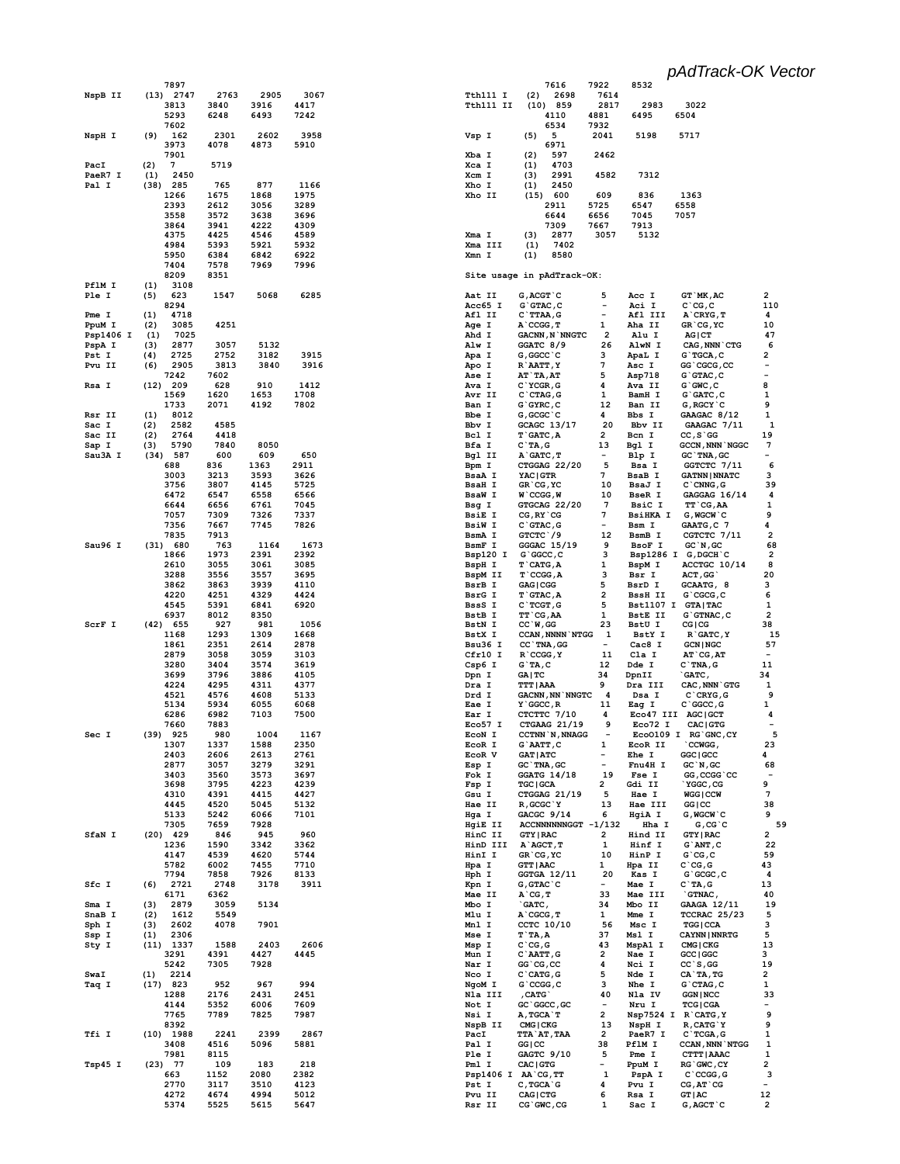**5374 5525 5615 5647**

 **7616 7922 8532 Tth111 I (2) 2698 7614<br>
<b>Tth111 II (10) 859 2817 Tth111 II (10) 859 2817 2983 3022 4110 4881 6495 6504 6534 7932 Vsp I (5) 5 2041 5198 5717 6971 Xba I (2) 597 2462 Xca I (1) 4703 Xcm I** (3) 2991 4582 7312<br> **Xho I** (1) 2450 **Xho I (1) 2450 Xho II (15) 600 609 836 1363 2911 5725 6547 6558 6644 6656 7045 7057 7309 7667 7913 Xma I (3) 2877 3057 5132 Xma III** (1) 7402<br>**Xmn I** (1) 8580 **Xmn I (1) 8580 Site usage in pAdTrack-OK: Aat II G, ACGT`C** 5 Acc I GT`MK, AC 2<br>
Acc65 I G`GTAC, C - Aci I C`CG, C 110 **Aci I** G`GTAC, C - Aci I<br>C`TTAA, G - Afl III **Afl II C`TTAA,G - Afl III A`CRYG,T 4 Age I A`CCGG,T 1 Aha II GR`CG,YC 10** Ahd I GACNN, N`NNGTC 2 Alu I AG|CT 47<br>Alw I GGATC 8/9 26 AlwN I CAG, NNN`CTG 6 Alw I GGATC<sup>'</sup>8/9 26 AlwN I CAG,NNN`CTG<br>Apa I G,GGCC'C 3 ApaLI G`TGCA,C<br>Apo I R`AATT,Y 7 Asc I GG`CGCG,CC Apa I G,GGCC`C 3 ApaL I G`TGCA,C 2<br>Apo I R`AATT,Y 7 Asc I GG`CGCG,CC -**Apo I R`AATT, Y 7 Asc I GG`CGCG, CC -**<br> **Ase I AT`TA,AT 5 Asp718 G`GTAC, C** -**AT`TA,AT** 5 Asp718 G`GTAC,C -<br>C`YCGR.G 4 AvaII G`GWC.C 8 Ava I C`YCGR, G 4 Ava II G`GWC, C 8<br>
Avr II C`CTAG, G 1 BamH I G`GATC, C 1 C`CTAG, G **Ban I G`GYRC, C** 12 Ban II G,RGCY`C 9<br> **Bbe I** G,GCGC`C 4 Bbs I GAAGAC 8/12 1 **Bbe I G, GCGC`C 4 Bbs I GAAGAC 8/12 1**<br>**Bbv I GCAGC 13/17 20 Bbv II GAAGAC 7/11 1 Bbv I GCAGC 13/17 20 Bbv II GAAGAC 7/11 11**<br> **Bcl I T'GATC,A** 2 Bcn I CC,S'GG 19 **Bcl I** T`GATC,A 2 Bcn I<br>Bcl I T`GATC,A 2 Bcn I Bfa I C`TA,G 13 Bgl I GCCN,NNN`NGGC 7<br>Bgl II A`GATC,T - Blp I GC`TNA,GC -**Bgl II A`GATC,T - Blp I GC`TNA,GC - Bpm I CTGGAG 22/20 5 Bsa I GGTCTC 7/11 6**<br>Bsa AI YACIGTR 7 Bsa BI GATNNINNATC 3 **BsaA I** YAC|GTR 7 BsaB I GATNN|NNATC<br> **BsaH** I GR`CG,YC 10 BsaJ I C`CNNG,G **BsaH I GR`CG,YC 10 BsaJ I C`CNNG,G 39**<br>BsaW I W`CCGG,W 10 BseR I GAGGAG 16/14 4 **BseR I GAGGAG 16/14 4**<br>BsiC I TT`CG,AA 1 **Bsg I GTGCAG 22/20 7 BsiC I TT`CG,AA 1**<br> **BsiE I CG,RY`CG 7 BsiHKA I G,WGCW`C** 9 CG,RY`CG<br>C`GTAC.G **BsiW I C`GTAC, G** - Bsm I GAATG, C 7 4<br> **BsmA I** GTCTC`/9 12 BsmB I CGTCTC 7/11 2 **CGTCTC** 7/11 **BsmF I GGGAC 15/19 9 BsoF I GC`N,GC 68 Bsp120 I G`GGCC, C** 3 Bsp1286 I G,DGCH`C 2<br> **BspH I** T`CATG, A 1 BspM I ACCTGC 10/14 8 **BspH I** T`CATG, A 1 BspM I ACCTGC 10/14 8<br> **BspM II** T`CCGG, A 3 Bsr I ACT, GG` 20 **BspM II T`CCGG, A** 3 Bsr I<br>BsrB I GAGICGG 5 BsrD I **BSRB** I GCAATG, 8 3<br> **BSRBI I GCAGCG.C** 5 3<br> **BSRBII GCGCG.C** 6 **BsrG I T`GTAC,A** 2 BssH II G`CGCG,C 6<br> **BssS I C`TCGT.G** 5 Bst1107 I GTAITAC 1 **BSSS I C`TCGT,G** 5 BSt1107 I GTA|TAC 1<br>
BstB I TT`CG.AA 1 BstEII G`GTNAC.C 2 BstB I TT`CG, AA 1 BstE II G`GTN<br>BstN I CC`W, GG 23 BstU I CG|CG **BStN I CC`W,GG 23 BStU I CG|CG 38**<br>BStN I CC`W,GG 23 BStU I CG|CG 38<br>BStX I CCAN,NNNN`NTGG 1 BStY I R`GATC,Y 15 BstX I CCAN, NNNN NTGG<br>Bsu36 I CC TNA, GG **Bsu36 I CC`TNA, GG** - Cac8 I GCN|NGC 57<br>
Cfr10 I R`CCGG, Y 11 Cla I AT`CG, AT -R`CCGG, Y **Csp6 I G`TA,C** 12 Dde I C`TNA,G 11<br> **Dpn I** GA|TC 34 Dpn II `GATC, 34 **Dpn I GA|TC 34 DpnII `GATC, 34**<br>Dra I TTT|AAA 9 Dra III CAC.NNN`GTG 1 Dra I TTT|AAA 9 Dra III CAC,NNN`GTG<br>Drd I GACNN,NN`NNGTC 4 Dsa I C`CRYG,G  $\begin{tabular}{lllllllll} \multicolumn{4}{l}{{\textbf{Dra I}}} & $\textbf{G}\textbf{A}\textbf{C}\textbf{N}\textbf{N}$ & $\textbf{NN}\textbf{G}\textbf{T}\textbf{C}$ & $\textbf{4}$ & $\textbf{Dsa I}$ & $\textbf{C}\textbf{C}\textbf{C}\textbf{R}\textbf{Y}\textbf{G}$, $\textbf{G}$ \\ \textbf{Eae I} & $\textbf{Y}\textbf{G}\textbf{G}\textbf{C}\textbf{C}$ & $\textbf{R}$ & $\textbf{11}$ & $\textbf{Eag I}$ & $\textbf{C}\textbf{G}\textbf{G}\textbf{G}\textbf{C}$,$ **F**'GGCC, R 11 Eag I C'GGCC, G 1<br>CTCTTC 7/10 4 Eco47 III AGC|GCT **Ear I CTCTTC 7/10 4 Eco47 III AGC|GCT 4**<br> **Eco57 I CTGAAG 21/19 9 Eco72 I CAC|GTG -Eco57 I CTGAAG 21/19 9 Eco72 I CAC|GTG - ECON I CCTNN`N, NNAGG - ECOO109 I RG`GNC, CY 5**<br> **ECOR I G`AATT, C 1 ECOR II `CCWGG, 23 EcoR I G`AATT,C 1 EcoR II `CCWGG, 23** EcoR V GAT|ATC - Ehe I GGC|GCC 4<br>
Esp I GC`TNA, GC - Fnu4H I GC`N, GC 68 Esp I GC`TNA,GC - Fnu4H I GC`N,GC<br>
Fok I GGATG 14/18 19 Fse I GG,CCGG`CC **Formal GGATG 14/18** 19 Fse I GG,CCGG`CC<br>TGC|GCA 2 Gdi II `YGGC,CG 9 **Fsp I TGC|GCA 2 Gdi II `YGGC,CG**<br>Gsu I CTGGAG 21/19 5 Hae I WGG|CCW **Gsu I CTGGAG 21/19 5 Hae I WGG|CCW 7**<br> **Hae II R.GCGC`Y** 13 Hae III GG|CC 38 **Hae II R,GCGC`Y 13 Hae III GG|CC 38 Hga I GACGC 9/14 6 HgiA I G,WGCW`C 9 HgiE II ACCNNNNNNGGT -1/132 Hha I G,CG`C 59**<br> **HinC II GTY|RAC 2** Hind II GTY|RAC 2 **HinC II GTY|RAC 2 Hind II GTY|RAC 2** A`AGCT,T 1 Hinf I G`ANT,C 22<br>GR`CG,YC 10 HinP I G`CG.C 59 HinI I GR`CG, YC 10 HinP I G`CG, C 59<br> **Hpa** I GTT|AAC 1 Hpa II C`CG, G 43  $GTT|AAC$ **Hph I GGTGA 12/11 20 Kas I G`GCGC, C 4**<br> **Kpn I G,GTAC`C - Mae I C`TA,G 13 The I** G,GTAC`C − Mae I C`TA,G 13<br>Mae II A`CG.T 33 Mae III `GTNAC. 40 **Mae II A`CG,T 33 Mae III `GTNAC, 40 Mbo I and I control in the United State 12/11 19**<br> **Mbo I `GATC, 34 Mbo II GAAGA 12/11 19**<br>
Min I A`CGCG T 1 Mme I TCCBAC 25/23 5 1 Mme I TCCRAC 25/23 5<br>56 Msc I TGG|CCA 3 Mnl I CCTC 10/10 56 Msc I TGG|CCA 3<br>Mse I T`TA,A 37 Msl I CAYNN|NNRTG 5 Mse I T`TA,A 37 Msl I CAYNN|NNRTG 5<br>Msp I C`CG,G 43 MspA1 I CMG|CKG 13 MspA1 I CMG|CKG<br>Nae I GCC|GGC **Mun I C`AATT,G 2 Nae I GCC|GGC 3 Nar I GG`CG,CC 4 Noil CC`S,GG 1**<br>C`CATG,G 5 Nde I CA`TA,TG 2 Nco I C`CATG,G 5 Nde I CA`TA,TG 2<br>NgoM I G`CCGG,C 3 Nhe I G`CTAG,C 1 G`CCGG, C 3 Nhe I<br>CATG` 40 Nla IV **Nla III , CATG`** 40 Nla IV GGN|NCC 33<br>Not I GC`GGCC, GC - Nru I TCG|CGA -**Not I GC`GGCC, GC - Nru I TCG|CGA -<br>
Nsi I A.TGCA`T 2 Nsp7524 I R`CATG.Y 9** Nsi I A, TGCA`T 2 Nsp7524 I<br>NspB II CMG|CKG 13 NspH I **NspB II CMG|CKG 13 NSpH I R, CATG<sup>'Y</sup><br>PacI TTA`AT\_TAA 2 PaeR7 I C`TCGA.G PACI TTA`AT,TAA 2 PAER7 I C`TCGA,G 1**<br>GG|CC 38 Pf1M I CCAN,NNN`NTGG 1 Pal I GG|CC 38 PflM I CCAN,NNN`NTGG 1<br>Ple I GAGTC 9/10 5 Pme I CTTT|AAAC 1 **Ple I GAGTC 9/10 5 Pme I CTTT|AAAC 1**<br> **Pml I CAC|GTG - PpuM I RG`GWC.CY 2** PM I RG`GWC,CY 2<br> **Phi I RG`GWC,CY 2**<br>
AA`CG,TT 1 PspA I C`CCGG,G 3 **Psp1406 I AA`CG,TT**<br> **PspA I C`CCGG,C**<br> **Pst I C**,TGCA`G 4 PVu I CG,AT`CG<br>
PVu II CAG|CTG 6 Rsa I GT|AC Pst I C, TGCA`G 4 Pvu I CG, AT`CG -<br>Pvu II CAG|CTG 6 Rsa I GT|AC 12 Pvu II CAG|CTG 6 Rsa I GT|AC 12<br>Rsr II CG`GWC,CG 1 Sac I G,AGCT`C 2 CG`GWC,CG

### *pAdTrack-OK Vector*